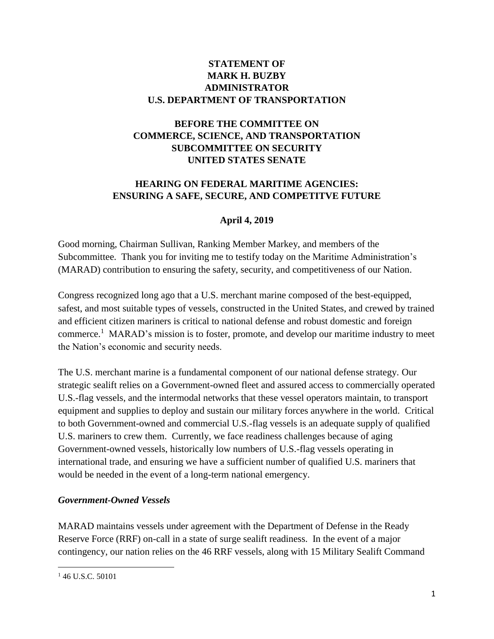### **STATEMENT OF MARK H. BUZBY ADMINISTRATOR U.S. DEPARTMENT OF TRANSPORTATION**

# **BEFORE THE COMMITTEE ON COMMERCE, SCIENCE, AND TRANSPORTATION SUBCOMMITTEE ON SECURITY UNITED STATES SENATE**

# **HEARING ON FEDERAL MARITIME AGENCIES: ENSURING A SAFE, SECURE, AND COMPETITVE FUTURE**

# **April 4, 2019**

Good morning, Chairman Sullivan, Ranking Member Markey, and members of the Subcommittee. Thank you for inviting me to testify today on the Maritime Administration's (MARAD) contribution to ensuring the safety, security, and competitiveness of our Nation.

Congress recognized long ago that a U.S. merchant marine composed of the best-equipped, safest, and most suitable types of vessels, constructed in the United States, and crewed by trained and efficient citizen mariners is critical to national defense and robust domestic and foreign commerce.<sup>1</sup> MARAD's mission is to foster, promote, and develop our maritime industry to meet the Nation's economic and security needs.

The U.S. merchant marine is a fundamental component of our national defense strategy. Our strategic sealift relies on a Government-owned fleet and assured access to commercially operated U.S.-flag vessels, and the intermodal networks that these vessel operators maintain, to transport equipment and supplies to deploy and sustain our military forces anywhere in the world. Critical to both Government-owned and commercial U.S.-flag vessels is an adequate supply of qualified U.S. mariners to crew them. Currently, we face readiness challenges because of aging Government-owned vessels, historically low numbers of U.S.-flag vessels operating in international trade, and ensuring we have a sufficient number of qualified U.S. mariners that would be needed in the event of a long-term national emergency.

### *Government-Owned Vessels*

MARAD maintains vessels under agreement with the Department of Defense in the Ready Reserve Force (RRF) on-call in a state of surge sealift readiness. In the event of a major contingency, our nation relies on the 46 RRF vessels, along with 15 Military Sealift Command

 $\overline{\phantom{a}}$ 

<sup>&</sup>lt;sup>1</sup> 46 U.S.C. 50101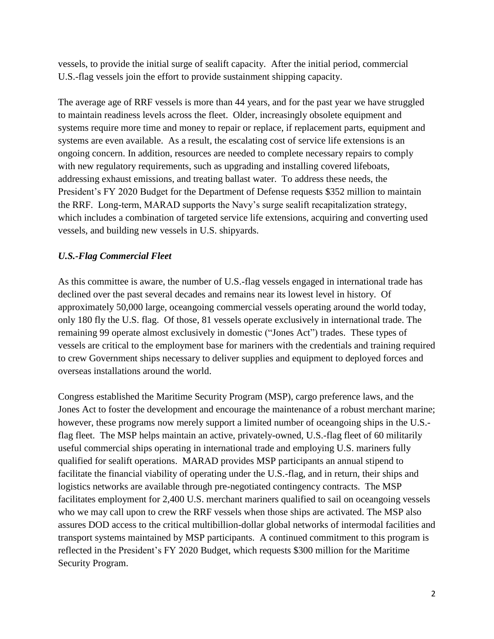vessels, to provide the initial surge of sealift capacity. After the initial period, commercial U.S.-flag vessels join the effort to provide sustainment shipping capacity.

The average age of RRF vessels is more than 44 years, and for the past year we have struggled to maintain readiness levels across the fleet. Older, increasingly obsolete equipment and systems require more time and money to repair or replace, if replacement parts, equipment and systems are even available. As a result, the escalating cost of service life extensions is an ongoing concern. In addition, resources are needed to complete necessary repairs to comply with new regulatory requirements, such as upgrading and installing covered lifeboats, addressing exhaust emissions, and treating ballast water. To address these needs, the President's FY 2020 Budget for the Department of Defense requests \$352 million to maintain the RRF. Long-term, MARAD supports the Navy's surge sealift recapitalization strategy, which includes a combination of targeted service life extensions, acquiring and converting used vessels, and building new vessels in U.S. shipyards.

# *U.S.-Flag Commercial Fleet*

As this committee is aware, the number of U.S.-flag vessels engaged in international trade has declined over the past several decades and remains near its lowest level in history. Of approximately 50,000 large, oceangoing commercial vessels operating around the world today, only 180 fly the U.S. flag. Of those, 81 vessels operate exclusively in international trade. The remaining 99 operate almost exclusively in domestic ("Jones Act") trades. These types of vessels are critical to the employment base for mariners with the credentials and training required to crew Government ships necessary to deliver supplies and equipment to deployed forces and overseas installations around the world.

Congress established the Maritime Security Program (MSP), cargo preference laws, and the Jones Act to foster the development and encourage the maintenance of a robust merchant marine; however, these programs now merely support a limited number of oceangoing ships in the U.S. flag fleet. The MSP helps maintain an active, privately-owned, U.S.-flag fleet of 60 militarily useful commercial ships operating in international trade and employing U.S. mariners fully qualified for sealift operations. MARAD provides MSP participants an annual stipend to facilitate the financial viability of operating under the U.S.-flag, and in return, their ships and logistics networks are available through pre-negotiated contingency contracts. The MSP facilitates employment for 2,400 U.S. merchant mariners qualified to sail on oceangoing vessels who we may call upon to crew the RRF vessels when those ships are activated. The MSP also assures DOD access to the critical multibillion-dollar global networks of intermodal facilities and transport systems maintained by MSP participants. A continued commitment to this program is reflected in the President's FY 2020 Budget, which requests \$300 million for the Maritime Security Program.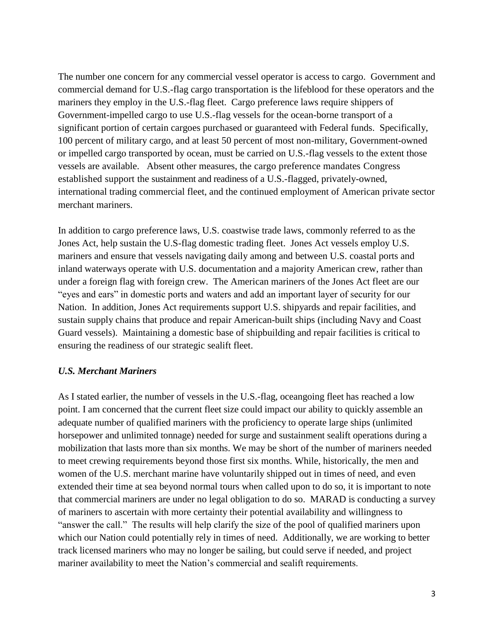The number one concern for any commercial vessel operator is access to cargo. Government and commercial demand for U.S.-flag cargo transportation is the lifeblood for these operators and the mariners they employ in the U.S.-flag fleet. Cargo preference laws require shippers of Government-impelled cargo to use U.S.-flag vessels for the ocean-borne transport of a significant portion of certain cargoes purchased or guaranteed with Federal funds. Specifically, 100 percent of military cargo, and at least 50 percent of most non-military, Government-owned or impelled cargo transported by ocean, must be carried on U.S.-flag vessels to the extent those vessels are available. Absent other measures, the cargo preference mandates Congress established support the sustainment and readiness of a U.S.-flagged, privately-owned, international trading commercial fleet, and the continued employment of American private sector merchant mariners.

In addition to cargo preference laws, U.S. coastwise trade laws, commonly referred to as the Jones Act, help sustain the U.S-flag domestic trading fleet. Jones Act vessels employ U.S. mariners and ensure that vessels navigating daily among and between U.S. coastal ports and inland waterways operate with U.S. documentation and a majority American crew, rather than under a foreign flag with foreign crew. The American mariners of the Jones Act fleet are our "eyes and ears" in domestic ports and waters and add an important layer of security for our Nation. In addition, Jones Act requirements support U.S. shipyards and repair facilities, and sustain supply chains that produce and repair American-built ships (including Navy and Coast Guard vessels). Maintaining a domestic base of shipbuilding and repair facilities is critical to ensuring the readiness of our strategic sealift fleet.

#### *U.S. Merchant Mariners*

As I stated earlier, the number of vessels in the U.S.-flag, oceangoing fleet has reached a low point. I am concerned that the current fleet size could impact our ability to quickly assemble an adequate number of qualified mariners with the proficiency to operate large ships (unlimited horsepower and unlimited tonnage) needed for surge and sustainment sealift operations during a mobilization that lasts more than six months. We may be short of the number of mariners needed to meet crewing requirements beyond those first six months. While, historically, the men and women of the U.S. merchant marine have voluntarily shipped out in times of need, and even extended their time at sea beyond normal tours when called upon to do so, it is important to note that commercial mariners are under no legal obligation to do so. MARAD is conducting a survey of mariners to ascertain with more certainty their potential availability and willingness to "answer the call." The results will help clarify the size of the pool of qualified mariners upon which our Nation could potentially rely in times of need. Additionally, we are working to better track licensed mariners who may no longer be sailing, but could serve if needed, and project mariner availability to meet the Nation's commercial and sealift requirements.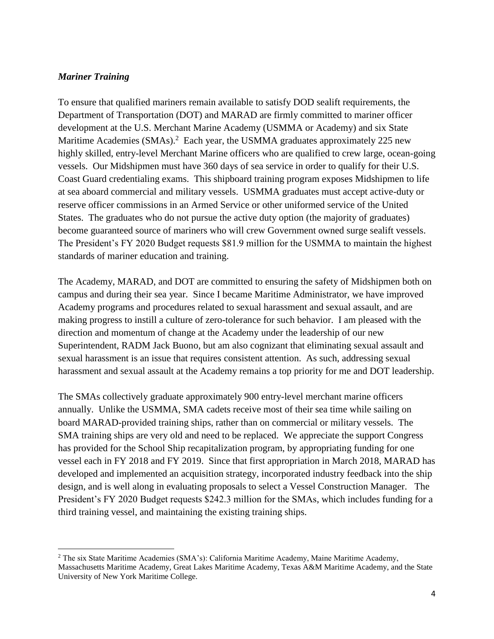#### *Mariner Training*

 $\overline{\phantom{a}}$ 

To ensure that qualified mariners remain available to satisfy DOD sealift requirements, the Department of Transportation (DOT) and MARAD are firmly committed to mariner officer development at the U.S. Merchant Marine Academy (USMMA or Academy) and six State Maritime Academies (SMAs).<sup>2</sup> Each year, the USMMA graduates approximately 225 new highly skilled, entry-level Merchant Marine officers who are qualified to crew large, ocean-going vessels. Our Midshipmen must have 360 days of sea service in order to qualify for their U.S. Coast Guard credentialing exams. This shipboard training program exposes Midshipmen to life at sea aboard commercial and military vessels. USMMA graduates must accept active-duty or reserve officer commissions in an Armed Service or other uniformed service of the United States. The graduates who do not pursue the active duty option (the majority of graduates) become guaranteed source of mariners who will crew Government owned surge sealift vessels. The President's FY 2020 Budget requests \$81.9 million for the USMMA to maintain the highest standards of mariner education and training.

The Academy, MARAD, and DOT are committed to ensuring the safety of Midshipmen both on campus and during their sea year. Since I became Maritime Administrator, we have improved Academy programs and procedures related to sexual harassment and sexual assault, and are making progress to instill a culture of zero-tolerance for such behavior. I am pleased with the direction and momentum of change at the Academy under the leadership of our new Superintendent, RADM Jack Buono, but am also cognizant that eliminating sexual assault and sexual harassment is an issue that requires consistent attention. As such, addressing sexual harassment and sexual assault at the Academy remains a top priority for me and DOT leadership.

The SMAs collectively graduate approximately 900 entry-level merchant marine officers annually. Unlike the USMMA, SMA cadets receive most of their sea time while sailing on board MARAD-provided training ships, rather than on commercial or military vessels. The SMA training ships are very old and need to be replaced. We appreciate the support Congress has provided for the School Ship recapitalization program, by appropriating funding for one vessel each in FY 2018 and FY 2019. Since that first appropriation in March 2018, MARAD has developed and implemented an acquisition strategy, incorporated industry feedback into the ship design, and is well along in evaluating proposals to select a Vessel Construction Manager. The President's FY 2020 Budget requests \$242.3 million for the SMAs, which includes funding for a third training vessel, and maintaining the existing training ships.

<sup>2</sup> The six State Maritime Academies (SMA's): California Maritime Academy, Maine Maritime Academy, Massachusetts Maritime Academy, Great Lakes Maritime Academy, Texas A&M Maritime Academy, and the State University of New York Maritime College.